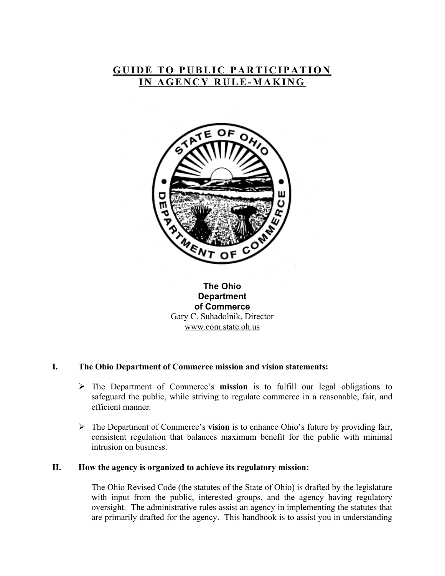# **GUIDE TO PUBLIC PARTICIPATION IN AGENCY RULE-MAKING**



## **The Ohio Department of Commerce**  Gary C. Suhadolnik, Director [www.com.state.oh.us](http://www.com.state.oh.us/)

#### **I. The Ohio Department of Commerce mission and vision statements:**

- ¾ The Department of Commerce's **mission** is to fulfill our legal obligations to safeguard the public, while striving to regulate commerce in a reasonable, fair, and efficient manner.
- ¾ The Department of Commerce's **vision** is to enhance Ohio's future by providing fair, consistent regulation that balances maximum benefit for the public with minimal intrusion on business.

#### **II. How the agency is organized to achieve its regulatory mission:**

The Ohio Revised Code (the statutes of the State of Ohio) is drafted by the legislature with input from the public, interested groups, and the agency having regulatory oversight. The administrative rules assist an agency in implementing the statutes that are primarily drafted for the agency. This handbook is to assist you in understanding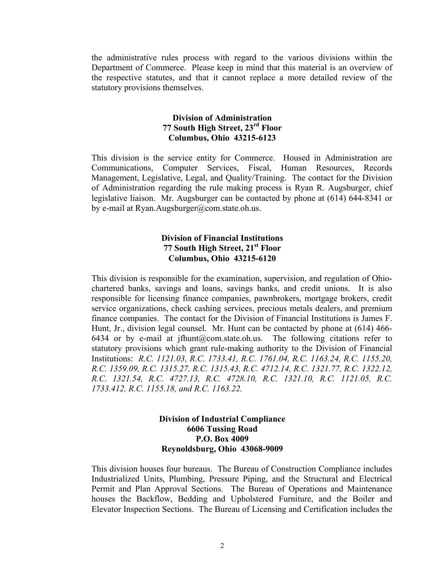the administrative rules process with regard to the various divisions within the Department of Commerce. Please keep in mind that this material is an overview of the respective statutes, and that it cannot replace a more detailed review of the statutory provisions themselves.

#### **Division of Administration 77 South High Street, 23rd Floor Columbus, Ohio 43215-6123**

This division is the service entity for Commerce. Housed in Administration are Communications, Computer Services, Fiscal, Human Resources, Records Management, Legislative, Legal, and Quality/Training. The contact for the Division of Administration regarding the rule making process is Ryan R. Augsburger, chief legislative liaison. Mr. Augsburger can be contacted by phone at (614) 644-8341 or by e-mail at [Ryan.Augsburger@com.state.oh.us.](mailto:Ryan.Augsburger@com.state.oh.us)

#### **Division of Financial Institutions 77 South High Street, 21st Floor Columbus, Ohio 43215-6120**

This division is responsible for the examination, supervision, and regulation of Ohiochartered banks, savings and loans, savings banks, and credit unions. It is also responsible for licensing finance companies, pawnbrokers, mortgage brokers, credit service organizations, check cashing services, precious metals dealers, and premium finance companies. The contact for the Division of Financial Institutions is James F. Hunt, Jr., division legal counsel. Mr. Hunt can be contacted by phone at (614) 466- 6434 or by e-mail at jfhunt@com.state.oh.us. The following citations refer to statutory provisions which grant rule-making authority to the Division of Financial Institutions: *R.C. 1121.03, R.C. 1733.41, R.C. 1761.04, R.C. 1163.24, R.C. 1155.20, R.C. 1359.09, R.C. 1315.27, R.C. 1315.43, R.C. 4712.14, R.C. 1321.77, R.C. 1322.12, R.C. 1321.54, R.C. 4727.13, R.C. 4728.10, R.C. 1321.10, R.C. 1121.05, R.C. 1733.412, R.C. 1155.18, and R.C. 1163.22.*

### **Division of Industrial Compliance 6606 Tussing Road P.O. Box 4009 Reynoldsburg, Ohio 43068-9009**

This division houses four bureaus. The Bureau of Construction Compliance includes Industrialized Units, Plumbing, Pressure Piping, and the Structural and Electrical Permit and Plan Approval Sections. The Bureau of Operations and Maintenance houses the Backflow, Bedding and Upholstered Furniture, and the Boiler and Elevator Inspection Sections. The Bureau of Licensing and Certification includes the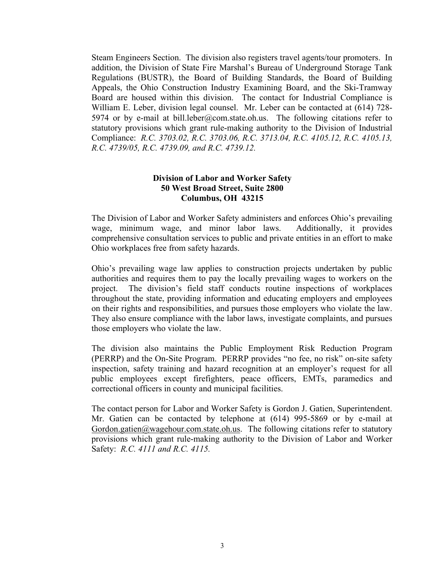Steam Engineers Section. The division also registers travel agents/tour promoters. In addition, the Division of State Fire Marshal's Bureau of Underground Storage Tank Regulations (BUSTR), the Board of Building Standards, the Board of Building Appeals, the Ohio Construction Industry Examining Board, and the Ski-Tramway Board are housed within this division. The contact for Industrial Compliance is William E. Leber, division legal counsel. Mr. Leber can be contacted at (614) 728 5974 or by e-mail at [bill.leber@com.state.oh.us.](mailto:bill.leber@com.state.oh.us) The following citations refer to statutory provisions which grant rule-making authority to the Division of Industrial Compliance: *R.C. 3703.02, R.C. 3703.06, R.C. 3713.04, R.C. 4105.12, R.C. 4105.13, R.C. 4739/05, R.C. 4739.09, and R.C. 4739.12.*

#### **Division of Labor and Worker Safety 50 West Broad Street, Suite 2800 Columbus, OH 43215**

The Division of Labor and Worker Safety administers and enforces Ohio's prevailing wage, minimum wage, and minor labor laws. Additionally, it provides comprehensive consultation services to public and private entities in an effort to make Ohio workplaces free from safety hazards.

Ohio's prevailing wage law applies to construction projects undertaken by public authorities and requires them to pay the locally prevailing wages to workers on the project. The division's field staff conducts routine inspections of workplaces throughout the state, providing information and educating employers and employees on their rights and responsibilities, and pursues those employers who violate the law. They also ensure compliance with the labor laws, investigate complaints, and pursues those employers who violate the law.

The division also maintains the Public Employment Risk Reduction Program (PERRP) and the On-Site Program. PERRP provides "no fee, no risk" on-site safety inspection, safety training and hazard recognition at an employer's request for all public employees except firefighters, peace officers, EMTs, paramedics and correctional officers in county and municipal facilities.

The contact person for Labor and Worker Safety is Gordon J. Gatien, Superintendent. Mr. Gatien can be contacted by telephone at (614) 995-5869 or by e-mail at [Gordon.gatien@wagehour.com.state.oh.us.](mailto:Gordon.gatien@wagehour.com.state.oh.us) The following citations refer to statutory provisions which grant rule-making authority to the Division of Labor and Worker Safety: *R.C. 4111 and R.C. 4115.*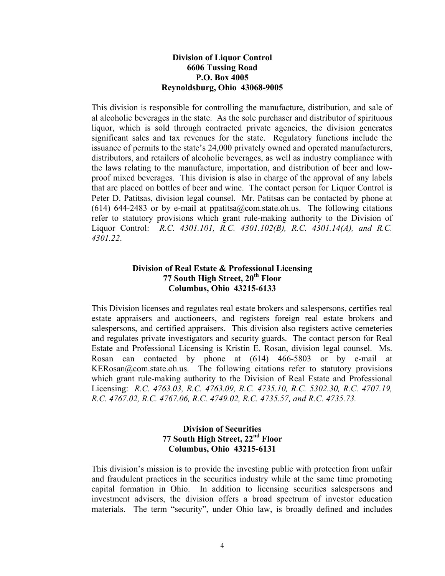#### **Division of Liquor Control 6606 Tussing Road P.O. Box 4005 Reynoldsburg, Ohio 43068-9005**

This division is responsible for controlling the manufacture, distribution, and sale of al alcoholic beverages in the state. As the sole purchaser and distributor of spirituous liquor, which is sold through contracted private agencies, the division generates significant sales and tax revenues for the state. Regulatory functions include the issuance of permits to the state's 24,000 privately owned and operated manufacturers, distributors, and retailers of alcoholic beverages, as well as industry compliance with the laws relating to the manufacture, importation, and distribution of beer and lowproof mixed beverages. This division is also in charge of the approval of any labels that are placed on bottles of beer and wine. The contact person for Liquor Control is Peter D. Patitsas, division legal counsel. Mr. Patitsas can be contacted by phone at (614) 644-2483 or by e-mail at [ppatitsa@com.state.oh.us](mailto:ppatitsa@com.state.oh.us). The following citations refer to statutory provisions which grant rule-making authority to the Division of Liquor Control: *R.C. 4301.101, R.C. 4301.102(B), R.C. 4301.14(A), and R.C. 4301.22*.

### **Division of Real Estate & Professional Licensing 77 South High Street, 20th Floor Columbus, Ohio 43215-6133**

This Division licenses and regulates real estate brokers and salespersons, certifies real estate appraisers and auctioneers, and registers foreign real estate brokers and salespersons, and certified appraisers. This division also registers active cemeteries and regulates private investigators and security guards. The contact person for Real Estate and Professional Licensing is Kristin E. Rosan, division legal counsel. Ms. Rosan can contacted by phone at (614) 466-5803 or by e-mail at [KERosan@com.state.oh.us](mailto:KERosan@com.state.oh.us). The following citations refer to statutory provisions which grant rule-making authority to the Division of Real Estate and Professional Licensing: *R.C. 4763.03, R.C. 4763.09, R.C. 4735.10, R.C. 5302.30, R.C. 4707.19, R.C. 4767.02, R.C. 4767.06, R.C. 4749.02, R.C. 4735.57, and R.C. 4735.73.*

#### **Division of Securities 77 South High Street, 22nd Floor Columbus, Ohio 43215-6131**

This division's mission is to provide the investing public with protection from unfair and fraudulent practices in the securities industry while at the same time promoting capital formation in Ohio. In addition to licensing securities salespersons and investment advisers, the division offers a broad spectrum of investor education materials. The term "security", under Ohio law, is broadly defined and includes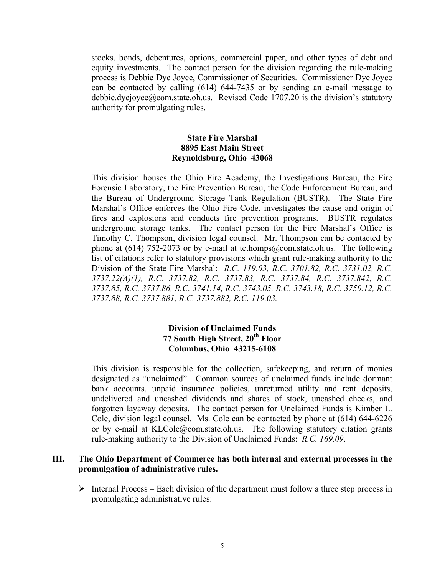stocks, bonds, debentures, options, commercial paper, and other types of debt and equity investments. The contact person for the division regarding the rule-making process is Debbie Dye Joyce, Commissioner of Securities. Commissioner Dye Joyce can be contacted by calling (614) 644-7435 or by sending an e-mail message to [debbie.dyejoyce@com.state.oh.us.](mailto:Debbie.dyejoyce@com.state.oh.us) Revised Code 1707.20 is the division's statutory authority for promulgating rules.

### **State Fire Marshal 8895 East Main Street Reynoldsburg, Ohio 43068**

This division houses the Ohio Fire Academy, the Investigations Bureau, the Fire Forensic Laboratory, the Fire Prevention Bureau, the Code Enforcement Bureau, and the Bureau of Underground Storage Tank Regulation (BUSTR). The State Fire Marshal's Office enforces the Ohio Fire Code, investigates the cause and origin of fires and explosions and conducts fire prevention programs. BUSTR regulates underground storage tanks. The contact person for the Fire Marshal's Office is Timothy C. Thompson, division legal counsel. Mr. Thompson can be contacted by phone at (614) 752-2073 or by e-mail at [tethomps@com.state.oh.us](mailto:tethomps@com.state.oh.us). The following list of citations refer to statutory provisions which grant rule-making authority to the Division of the State Fire Marshal: *R.C. 119.03, R.C. 3701.82, R.C. 3731.02, R.C. 3737.22(A)(1), R.C. 3737.82, R.C. 3737.83, R.C. 3737.84, R.C. 3737.842, R.C. 3737.85, R.C. 3737.86, R.C. 3741.14, R.C. 3743.05, R.C. 3743.18, R.C. 3750.12, R.C. 3737.88, R.C. 3737.881, R.C. 3737.882, R.C. 119.03.*

### **Division of Unclaimed Funds 77 South High Street, 20th Floor Columbus, Ohio 43215-6108**

This division is responsible for the collection, safekeeping, and return of monies designated as "unclaimed". Common sources of unclaimed funds include dormant bank accounts, unpaid insurance policies, unreturned utility and rent deposits, undelivered and uncashed dividends and shares of stock, uncashed checks, and forgotten layaway deposits. The contact person for Unclaimed Funds is Kimber L. Cole, division legal counsel. Ms. Cole can be contacted by phone at (614) 644-6226 or by e-mail at [KLCole@com.state.oh.us.](mailto:KLCole@com.state.oh.us) The following statutory citation grants rule-making authority to the Division of Unclaimed Funds: *R.C. 169.09*.

#### **III. The Ohio Department of Commerce has both internal and external processes in the promulgation of administrative rules.**

 $\triangleright$  Internal Process – Each division of the department must follow a three step process in promulgating administrative rules: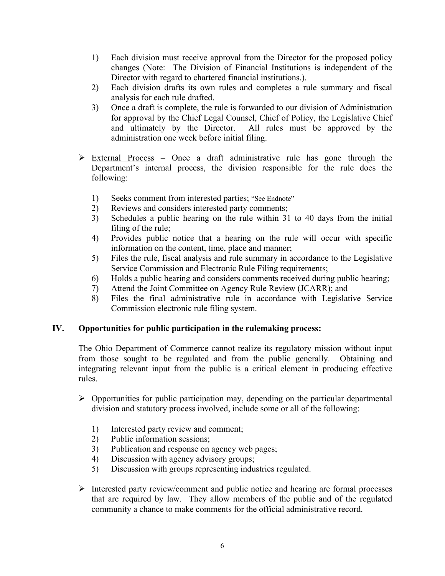- 1) Each division must receive approval from the Director for the proposed policy changes (Note: The Division of Financial Institutions is independent of the Director with regard to chartered financial institutions.).
- 2) Each division drafts its own rules and completes a rule summary and fiscal analysis for each rule drafted.
- 3) Once a draft is complete, the rule is forwarded to our division of Administration for approval by the Chief Legal Counsel, Chief of Policy, the Legislative Chief and ultimately by the Director. All rules must be approved by the administration one week before initial filing.
- $\triangleright$  External Process Once a draft administrative rule has gone through the Department's internal process, the division responsible for the rule does the following:
	- 1) Seeks comment from interested parties; "See Endnote"
	- 2) Reviews and considers interested party comments;
	- 3) Schedules a public hearing on the rule within 31 to 40 days from the initial filing of the rule;
	- 4) Provides public notice that a hearing on the rule will occur with specific information on the content, time, place and manner;
	- 5) Files the rule, fiscal analysis and rule summary in accordance to the Legislative Service Commission and Electronic Rule Filing requirements;
	- 6) Holds a public hearing and considers comments received during public hearing;
	- 7) Attend the Joint Committee on Agency Rule Review (JCARR); and
	- 8) Files the final administrative rule in accordance with Legislative Service Commission electronic rule filing system.

## **IV. Opportunities for public participation in the rulemaking process:**

The Ohio Department of Commerce cannot realize its regulatory mission without input from those sought to be regulated and from the public generally. Obtaining and integrating relevant input from the public is a critical element in producing effective rules.

- $\triangleright$  Opportunities for public participation may, depending on the particular departmental division and statutory process involved, include some or all of the following:
	- 1) Interested party review and comment;
	- 2) Public information sessions;
	- 3) Publication and response on agency web pages;
	- 4) Discussion with agency advisory groups;
	- 5) Discussion with groups representing industries regulated.
- $\triangleright$  Interested party review/comment and public notice and hearing are formal processes that are required by law. They allow members of the public and of the regulated community a chance to make comments for the official administrative record.